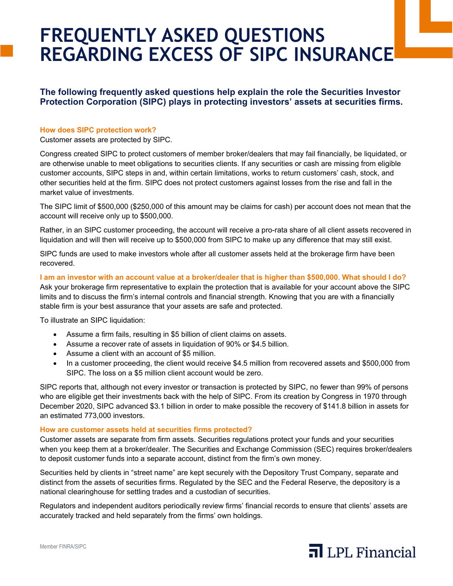# **FREQUENTLY ASKED QUESTIONS REGARDING EXCESS OF SIPC INSURANCE**

**The following frequently asked questions help explain the role the Securities Investor Protection Corporation (SIPC) plays in protecting investors' assets at securities firms.**

## **How does SIPC protection work?**

Customer assets are protected by SIPC.

Congress created SIPC to protect customers of member broker/dealers that may fail financially, be liquidated, or are otherwise unable to meet obligations to securities clients. If any securities or cash are missing from eligible customer accounts, SIPC steps in and, within certain limitations, works to return customers' cash, stock, and other securities held at the firm. SIPC does not protect customers against losses from the rise and fall in the market value of investments.

The SIPC limit of \$500,000 (\$250,000 of this amount may be claims for cash) per account does not mean that the account will receive only up to \$500,000.

Rather, in an SIPC customer proceeding, the account will receive a pro-rata share of all client assets recovered in liquidation and will then will receive up to \$500,000 from SIPC to make up any difference that may still exist.

SIPC funds are used to make investors whole after all customer assets held at the brokerage firm have been recovered.

**I am an investor with an account value at a broker/dealer that is higher than \$500,000. What should I do?** Ask your brokerage firm representative to explain the protection that is available for your account above the SIPC limits and to discuss the firm's internal controls and financial strength. Knowing that you are with a financially stable firm is your best assurance that your assets are safe and protected.

To illustrate an SIPC liquidation:

- Assume a firm fails, resulting in \$5 billion of client claims on assets.
- Assume a recover rate of assets in liquidation of 90% or \$4.5 billion.
- Assume a client with an account of \$5 million.
- In a customer proceeding, the client would receive \$4.5 million from recovered assets and \$500,000 from SIPC. The loss on a \$5 million client account would be zero.

SIPC reports that, although not every investor or transaction is protected by SIPC, no fewer than 99% of persons who are eligible get their investments back with the help of SIPC. From its creation by Congress in 1970 through December 2020, SIPC advanced \$3.1 billion in order to make possible the recovery of \$141.8 billion in assets for an estimated 773,000 investors.

### **How are customer assets held at securities firms protected?**

Customer assets are separate from firm assets. Securities regulations protect your funds and your securities when you keep them at a broker/dealer. The Securities and Exchange Commission (SEC) requires broker/dealers to deposit customer funds into a separate account, distinct from the firm's own money.

Securities held by clients in "street name" are kept securely with the Depository Trust Company, separate and distinct from the assets of securities firms. Regulated by the SEC and the Federal Reserve, the depository is a national clearinghouse for settling trades and a custodian of securities.

Regulators and independent auditors periodically review firms' financial records to ensure that clients' assets are accurately tracked and held separately from the firms' own holdings.